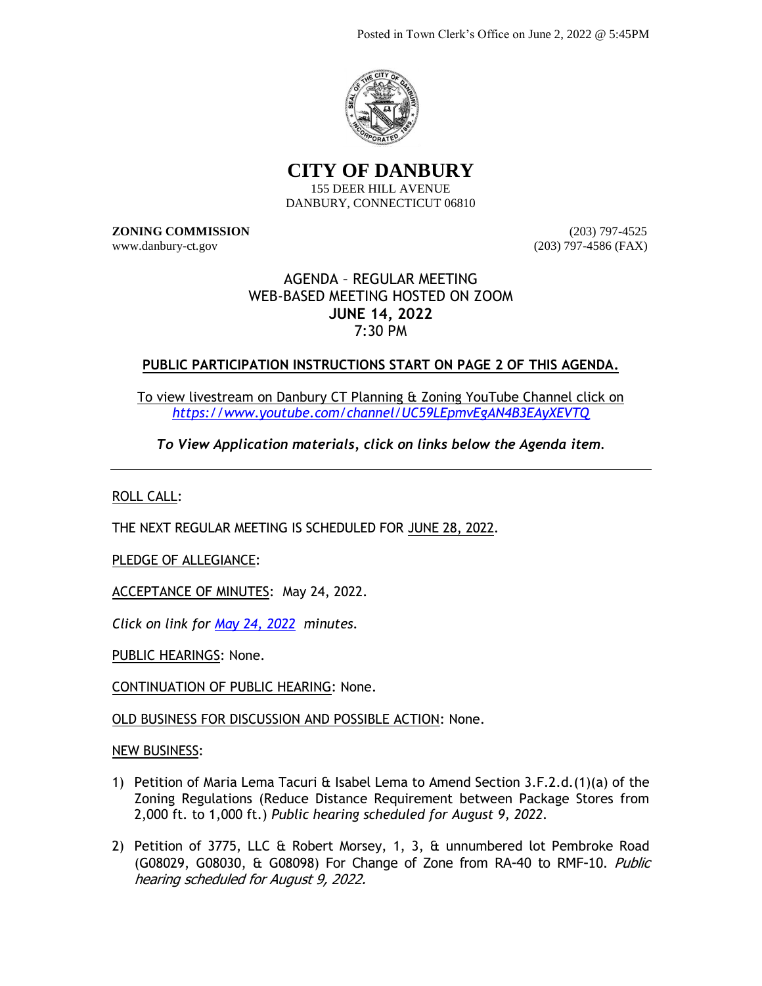

**CITY OF DANBURY**

155 DEER HILL AVENUE DANBURY, CONNECTICUT 06810

**ZONING COMMISSION** (203) 797-4525 www.danbury-ct.gov (203) 797-4586 (FAX)

# AGENDA – REGULAR MEETING WEB-BASED MEETING HOSTED ON ZOOM **JUNE 14, 2022** 7:30 PM

# **PUBLIC PARTICIPATION INSTRUCTIONS START ON PAGE 2 OF THIS AGENDA.**

To view livestream on Danbury CT Planning & Zoning YouTube Channel click on *<https://www.youtube.com/channel/UC59LEpmvEgAN4B3EAyXEVTQ>*

*To View Application materials, click on links below the Agenda item.*

ROLL CALL:

THE NEXT REGULAR MEETING IS SCHEDULED FOR JUNE 28, 2022.

PLEDGE OF ALLEGIANCE:

ACCEPTANCE OF MINUTES: May 24, 2022.

*Click on link for May [24, 2022](https://www.danbury-ct.gov/wp-content/uploads/2022/06/ZC-Minutes-05.24.22.pdf) minutes.*

PUBLIC HEARINGS: None.

CONTINUATION OF PUBLIC HEARING: None.

OLD BUSINESS FOR DISCUSSION AND POSSIBLE ACTION: None.

NEW BUSINESS:

- 1) Petition of Maria Lema Tacuri  $\hat{\alpha}$  Isabel Lema to Amend Section 3.F.2.d.(1)(a) of the Zoning Regulations (Reduce Distance Requirement between Package Stores from 2,000 ft. to 1,000 ft.) *Public hearing scheduled for August 9, 2022.*
- 2) Petition of 3775, LLC & Robert Morsey, 1, 3, & unnumbered lot Pembroke Road (G08029, G08030, & G08098) For Change of Zone from RA-40 to RMF-10. Public hearing scheduled for August 9, 2022.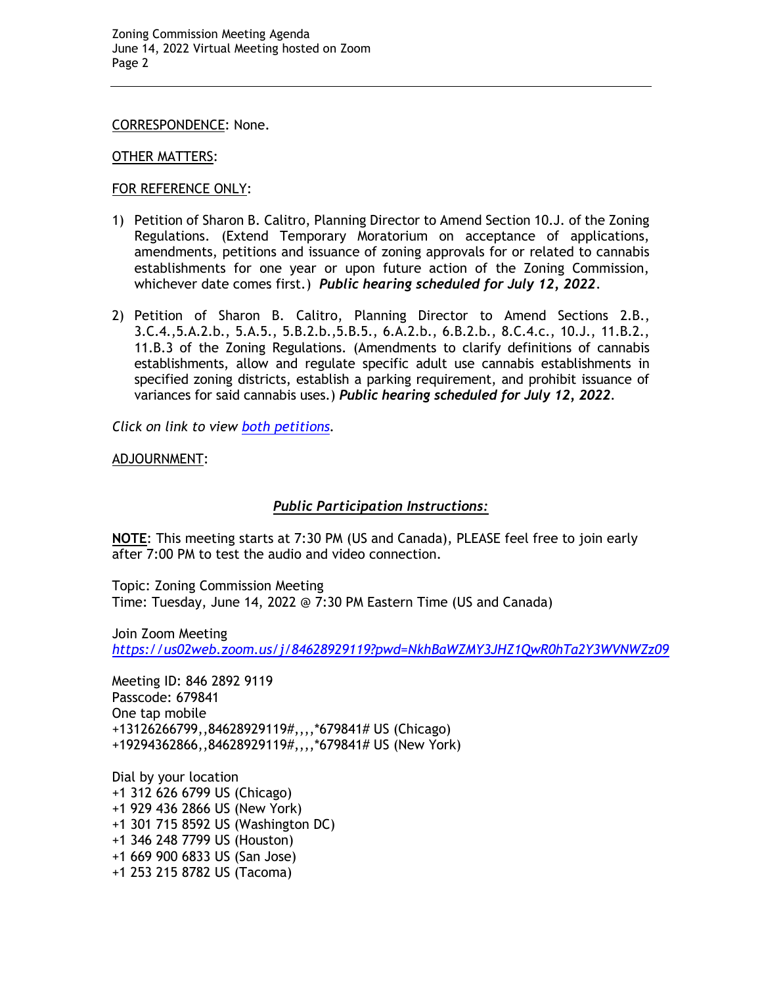CORRESPONDENCE: None.

#### OTHER MATTERS:

### FOR REFERENCE ONLY:

- 1) Petition of Sharon B. Calitro, Planning Director to Amend Section 10.J. of the Zoning Regulations. (Extend Temporary Moratorium on acceptance of applications, amendments, petitions and issuance of zoning approvals for or related to cannabis establishments for one year or upon future action of the Zoning Commission, whichever date comes first.) *Public hearing scheduled for July 12, 2022*.
- 2) Petition of Sharon B. Calitro, Planning Director to Amend Sections 2.B., 3.C.4.,5.A.2.b., 5.A.5., 5.B.2.b.,5.B.5., 6.A.2.b., 6.B.2.b., 8.C.4.c., 10.J., 11.B.2., 11.B.3 of the Zoning Regulations. (Amendments to clarify definitions of cannabis establishments, allow and regulate specific adult use cannabis establishments in specified zoning districts, establish a parking requirement, and prohibit issuance of variances for said cannabis uses.) *Public hearing scheduled for July 12, 2022.*

*Click on link to view [both petitions.](https://www.danbury-ct.gov/wp-content/uploads/2022/05/ZC-agenda-05.24.22-w-links.pdf)*

ADJOURNMENT:

# *Public Participation Instructions:*

**NOTE**: This meeting starts at 7:30 PM (US and Canada), PLEASE feel free to join early after 7:00 PM to test the audio and video connection.

Topic: Zoning Commission Meeting Time: Tuesday, June 14, 2022 @ 7:30 PM Eastern Time (US and Canada)

Join Zoom Meeting *<https://us02web.zoom.us/j/84628929119?pwd=NkhBaWZMY3JHZ1QwR0hTa2Y3WVNWZz09>*

Meeting ID: 846 2892 9119 Passcode: 679841 One tap mobile +13126266799,,84628929119#,,,,\*679841# US (Chicago) +19294362866,,84628929119#,,,,\*679841# US (New York)

Dial by your location +1 312 626 6799 US (Chicago) +1 929 436 2866 US (New York) +1 301 715 8592 US (Washington DC) +1 346 248 7799 US (Houston) +1 669 900 6833 US (San Jose) +1 253 215 8782 US (Tacoma)